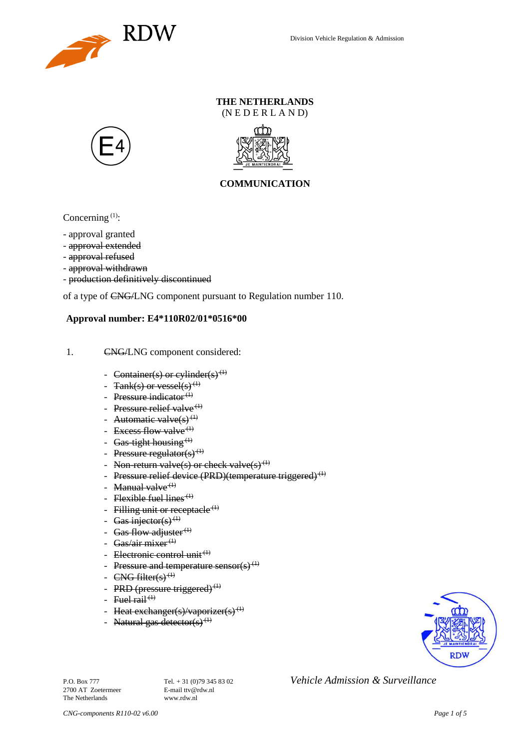

### **THE NETHERLANDS** (N E D E R L A N D)





## **COMMUNICATION**

Concerning  $(1)$ :

- approval granted
- approval extended
- approval refused
- approval withdrawn
- production definitively discontinued

of a type of CNG/LNG component pursuant to Regulation number 110.

#### **Approval number: E4\*110R02/01\*0516\*00**

- 1. CNG/LNG component considered:
	- Container(s) or cylinder(s)<sup>(1)</sup>
	- $Tank(s)$  or vessel(s)<sup>(1)</sup>
	- Pressure indicator $(1)$
	- Pressure relief valve<sup> $(1)$ </sup>
	- Automatic valve $(s)$ <sup>(1)</sup>
	- Excess flow valve $(1)$
	- Gas-tight housing<sup> $(1)$ </sup>
	- Pressure regulator(s) $(1)$
	- Non-return valve(s) or check valve(s)<sup>(1)</sup>
	- Pressure relief device (PRD)(temperature triggered)<sup>(1)</sup>
	- Manual valve $<sup>(1)</sup>$ </sup>
	- Flexible fuel lines<sup> $(1)$ </sup>
	- Filling unit or receptacle  $(1)$
	- Gas injector(s)<sup>(1)</sup>
	- Gas flow adjuster $^{(1)}$
	- Gas/air mixer<sup>(1)</sup>
	- Electronic control unit<sup>(1)</sup>
	- Pressure and temperature sensor(s)<sup>(1)</sup>
	- $CNG$  filter(s)<sup>(1)</sup>
	- PRD (pressure triggered) $<sup>(1)</sup>$ </sup>
	- Fuel rail  $(1)$
	- Heat exchanger(s)/vaporizer(s)<sup>(1)</sup>
	- Natural gas detector(s)<sup>(1)</sup>



2700 AT Zoetermeer The Netherlands www.rdw.nl

P.O. Box 777<br> **P.O. Box 777** Tel. + 31 (0)79 345 83 02 *Vehicle Admission & Surveillance*<br>
F-mail tty@rdw.nl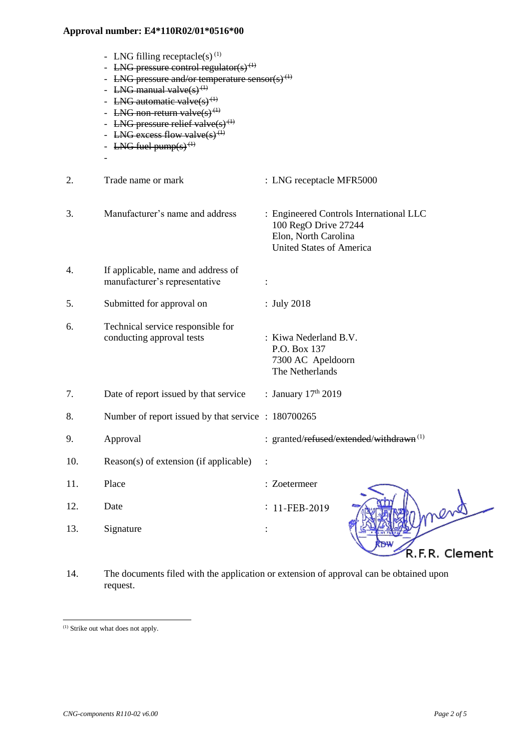- LNG filling receptacle(s)<sup>(1)</sup>
- LNG pressure control regulator(s)<sup>(1)</sup>
- LNG pressure and/or temperature sensor(s)<sup>(1)</sup>
- LNG manual valve $(s)$ <sup>(1)</sup>
- LNG automatic valve $(s)$ <sup>(1)</sup>
- LNG non-return valve $(s)$ <sup>(1)</sup>
- LNG pressure relief valve $(s)$ <sup>(1)</sup>
- LNG excess flow valve(s)<sup>(1)</sup>
- LNG fuel pump $(s)$ <sup> $(1)$ </sup>

-

- 2. Trade name or mark : LNG receptacle MFR5000 3. Manufacturer's name and address : Engineered Controls International LLC 100 RegO Drive 27244 Elon, North Carolina United States of America 4. If applicable, name and address of manufacturer's representative : 5. Submitted for approval on : July 2018 6. Technical service responsible for conducting approval tests : Kiwa Nederland B.V. P.O. Box 137 7300 AC Apeldoorn The Netherlands 7. Date of report issued by that service : January  $17<sup>th</sup> 2019$ 8. Number of report issued by that service : 180700265 9. Approval : granted/refused/extended/withdrawn<sup>(1)</sup> 10. Reason(s) of extension (if applicable) : 11. Place : Zoetermeer 12. Date : : 11-FEB-2019 13. Signature : R.F.R. Clement
	- 14. The documents filed with the application or extension of approval can be obtained upon request.

<sup>(1)</sup> Strike out what does not apply.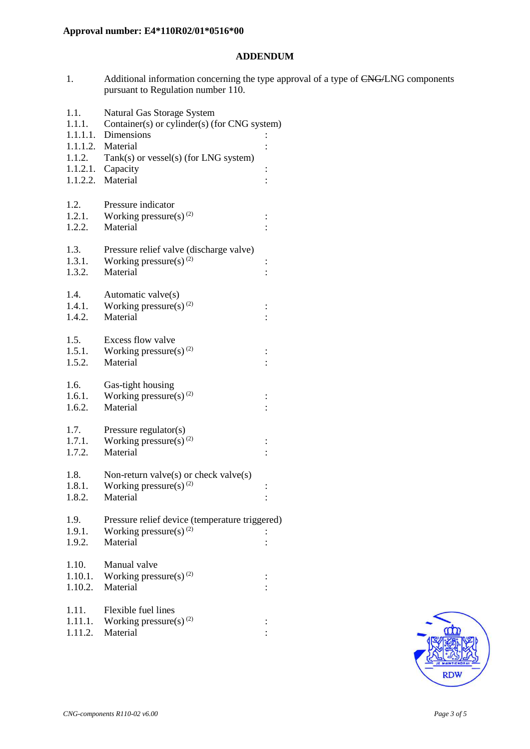### **ADDENDUM**

1. Additional information concerning the type approval of a type of CNG/LNG components pursuant to Regulation number 110.

| 1.1.<br>1.1.1.   | Natural Gas Storage System<br>Container(s) or cylinder(s) (for CNG system) |                      |  |
|------------------|----------------------------------------------------------------------------|----------------------|--|
| 1.1.1.1.         | Dimensions                                                                 |                      |  |
|                  | 1.1.1.2. Material                                                          |                      |  |
| 1.1.2.           | Tank(s) or vessel(s) (for LNG system)                                      |                      |  |
|                  | $1.1.2.1.$ Capacity                                                        | $\vdots$             |  |
|                  | 1.1.2.2. Material                                                          |                      |  |
| 1.2.             | Pressure indicator                                                         |                      |  |
| 1.2.1.           | Working pressure(s) $(2)$                                                  |                      |  |
| 1.2.2.           | Material                                                                   | $\vdots$             |  |
|                  |                                                                            |                      |  |
| 1.3.             | Pressure relief valve (discharge valve)                                    |                      |  |
| 1.3.1.           | Working pressure(s) $^{(2)}$                                               | $\vdots$             |  |
| 1.3.2.           | Material                                                                   |                      |  |
| 1.4.             | Automatic valve(s)                                                         |                      |  |
| 1.4.1.           | Working pressure(s) <sup>(2)</sup>                                         |                      |  |
| 1.4.2.           | Material                                                                   |                      |  |
|                  |                                                                            |                      |  |
| 1.5.<br>1.5.1.   | Excess flow valve                                                          |                      |  |
| 1.5.2.           | Working pressure(s) $^{(2)}$<br>Material                                   | $\vdots$             |  |
|                  |                                                                            |                      |  |
| 1.6.             | Gas-tight housing                                                          |                      |  |
| 1.6.1.           | Working pressure(s) $(2)$                                                  |                      |  |
| 1.6.2.           | Material                                                                   |                      |  |
| 1.7.             | Pressure regulator(s)                                                      |                      |  |
| 1.7.1.           | Working pressure(s) <sup>(2)</sup>                                         | $\vdots$             |  |
| 1.7.2.           | Material                                                                   |                      |  |
|                  |                                                                            |                      |  |
| 1.8.             | Non-return valve $(s)$ or check valve $(s)$                                |                      |  |
| 1.8.1.<br>1.8.2. | Working pressure(s) $^{(2)}$<br>Material                                   | $\vdots$<br>$\vdots$ |  |
|                  |                                                                            |                      |  |
| 1.9.             | Pressure relief device (temperature triggered)                             |                      |  |
| 1.9.1.           | Working pressure(s) $(2)$                                                  |                      |  |
| 1.9.2.           | Material                                                                   |                      |  |
| 1.10.            | Manual valve                                                               |                      |  |
| 1.10.1.          | Working pressure(s) $^{(2)}$                                               | $\ddot{\cdot}$       |  |
| 1.10.2.          | Material                                                                   |                      |  |
|                  |                                                                            |                      |  |
| 1.11.            | Flexible fuel lines                                                        |                      |  |
| 1.11.1.          | Working pressure(s) $(2)$                                                  |                      |  |
| 1.11.2.          | Material                                                                   |                      |  |
|                  |                                                                            |                      |  |

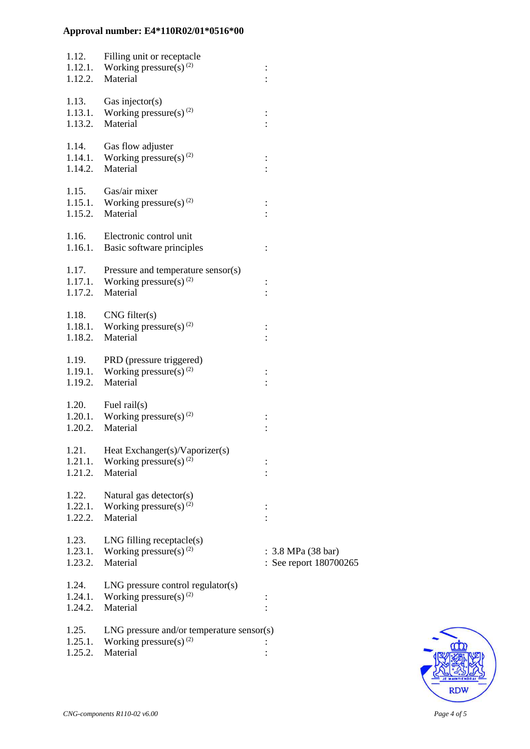| 1.12.<br>1.12.1.<br>1.12.2. | Filling unit or receptacle<br>Working pressure(s) <sup>(2)</sup><br>Material                  |                                                                |
|-----------------------------|-----------------------------------------------------------------------------------------------|----------------------------------------------------------------|
| 1.13.<br>1.13.1.<br>1.13.2. | Gas injector( $s$ )<br>Working pressure(s) $^{(2)}$<br>Material                               |                                                                |
| 1.14.<br>1.14.1.<br>1.14.2. | Gas flow adjuster<br>Working pressure(s) <sup>(2)</sup><br>Material                           | $\vdots$                                                       |
| 1.15.2.                     | 1.15. Gas/air mixer<br>1.15.1. Working pressure(s) <sup>(2)</sup><br>Material                 |                                                                |
| 1.16.<br>1.16.1.            | Electronic control unit<br>Basic software principles                                          |                                                                |
| 1.17.<br>1.17.1.<br>1.17.2. | Pressure and temperature sensor(s)<br>Working pressure(s) <sup>(2)</sup><br>Material          |                                                                |
| 1.18.<br>1.18.2.            | CNG filter(s)<br>1.18.1. Working pressure(s) <sup>(2)</sup><br>Material                       |                                                                |
| 1.19.<br>1.19.1.<br>1.19.2. | PRD (pressure triggered)<br>Working pressure(s) <sup>(2)</sup><br>Material                    |                                                                |
| 1.20.<br>1.20.2.            | Fuel rail $(s)$<br>1.20.1. Working pressure(s) <sup>(2)</sup><br>Material                     |                                                                |
| 1.21.<br>1.21.1.<br>1.21.2. | Heat Exchanger(s)/Vaporizer(s)<br>Working pressure(s) $(2)$<br>Material                       |                                                                |
| 1.22.<br>1.22.1.<br>1.22.2. | Natural gas detector(s)<br>Working pressure(s) $^{(2)}$<br>Material                           |                                                                |
| 1.23.<br>1.23.1.<br>1.23.2. | $LNG$ filling receptacle $(s)$<br>Working pressure(s) $^{(2)}$<br>Material                    | : $3.8 \text{ MPa} (38 \text{ bar})$<br>: See report 180700265 |
| 1.24.<br>1.24.1.<br>1.24.2. | $LNG$ pressure control regulator(s)<br>Working pressure(s) $(2)$<br>Material                  |                                                                |
| 1.25.<br>1.25.1.<br>1.25.2. | $LNG$ pressure and/or temperature sensor(s)<br>Working pressure(s) <sup>(2)</sup><br>Material |                                                                |